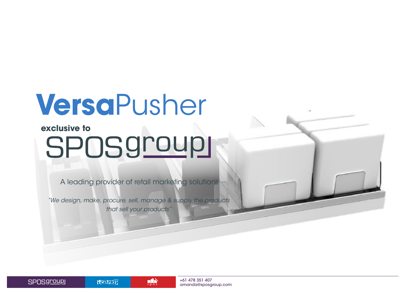### **Versa**Pusher

### exclusive to<br>SPOS9roup1

A leading provider of retail marketing solutions

*"We design, make, procure, sell, manage & supply the products that sell your products"*

 $\mathbf{H}$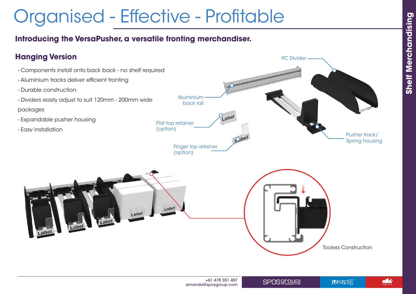$\mathbf{H}$ 

Hearar

### Organised - Effective - Profitable

#### **Introducing the VersaPusher, a versatile fronting merchandiser.**





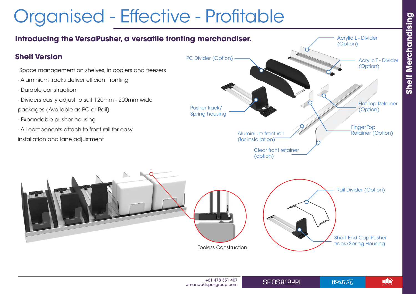# **Shelf Merchandising Shelf Merchandising**

 $\mathbf{H}$ 

#### Organised - Effective - Profitable

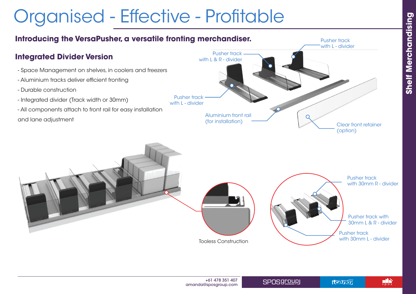$\mathbf{H}$ 

### Organised - Effective - Profitable